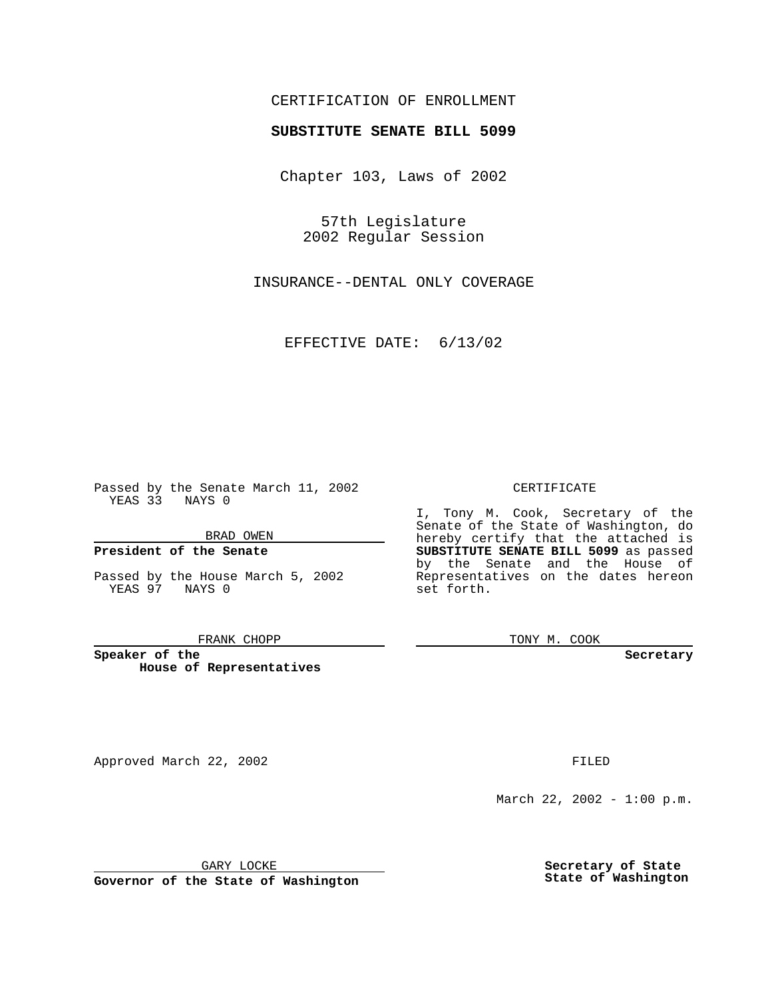## CERTIFICATION OF ENROLLMENT

# **SUBSTITUTE SENATE BILL 5099**

Chapter 103, Laws of 2002

57th Legislature 2002 Regular Session

INSURANCE--DENTAL ONLY COVERAGE

EFFECTIVE DATE: 6/13/02

Passed by the Senate March 11, 2002 YEAS 33 NAYS 0

BRAD OWEN

### **President of the Senate**

Passed by the House March 5, 2002 YEAS 97 NAYS 0

#### FRANK CHOPP

**Speaker of the House of Representatives**

Approved March 22, 2002 **FILED** 

#### CERTIFICATE

I, Tony M. Cook, Secretary of the Senate of the State of Washington, do hereby certify that the attached is **SUBSTITUTE SENATE BILL 5099** as passed by the Senate and the House of Representatives on the dates hereon set forth.

TONY M. COOK

**Secretary**

March 22, 2002 - 1:00 p.m.

GARY LOCKE

**Governor of the State of Washington**

**Secretary of State State of Washington**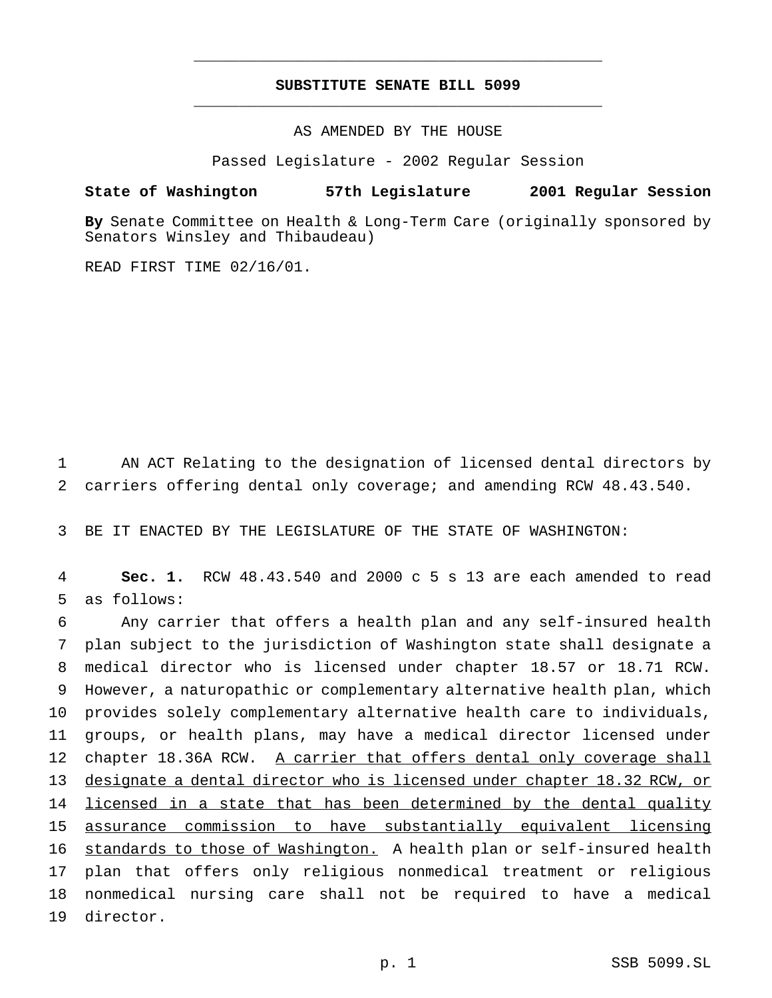## **SUBSTITUTE SENATE BILL 5099** \_\_\_\_\_\_\_\_\_\_\_\_\_\_\_\_\_\_\_\_\_\_\_\_\_\_\_\_\_\_\_\_\_\_\_\_\_\_\_\_\_\_\_\_\_

\_\_\_\_\_\_\_\_\_\_\_\_\_\_\_\_\_\_\_\_\_\_\_\_\_\_\_\_\_\_\_\_\_\_\_\_\_\_\_\_\_\_\_\_\_

AS AMENDED BY THE HOUSE

Passed Legislature - 2002 Regular Session

### **State of Washington 57th Legislature 2001 Regular Session**

**By** Senate Committee on Health & Long-Term Care (originally sponsored by Senators Winsley and Thibaudeau)

READ FIRST TIME 02/16/01.

1 AN ACT Relating to the designation of licensed dental directors by 2 carriers offering dental only coverage; and amending RCW 48.43.540.

3 BE IT ENACTED BY THE LEGISLATURE OF THE STATE OF WASHINGTON:

4 **Sec. 1.** RCW 48.43.540 and 2000 c 5 s 13 are each amended to read 5 as follows:

 Any carrier that offers a health plan and any self-insured health plan subject to the jurisdiction of Washington state shall designate a medical director who is licensed under chapter 18.57 or 18.71 RCW. However, a naturopathic or complementary alternative health plan, which provides solely complementary alternative health care to individuals, groups, or health plans, may have a medical director licensed under chapter 18.36A RCW. A carrier that offers dental only coverage shall designate a dental director who is licensed under chapter 18.32 RCW, or 14 licensed in a state that has been determined by the dental quality assurance commission to have substantially equivalent licensing 16 standards to those of Washington. A health plan or self-insured health plan that offers only religious nonmedical treatment or religious nonmedical nursing care shall not be required to have a medical director.